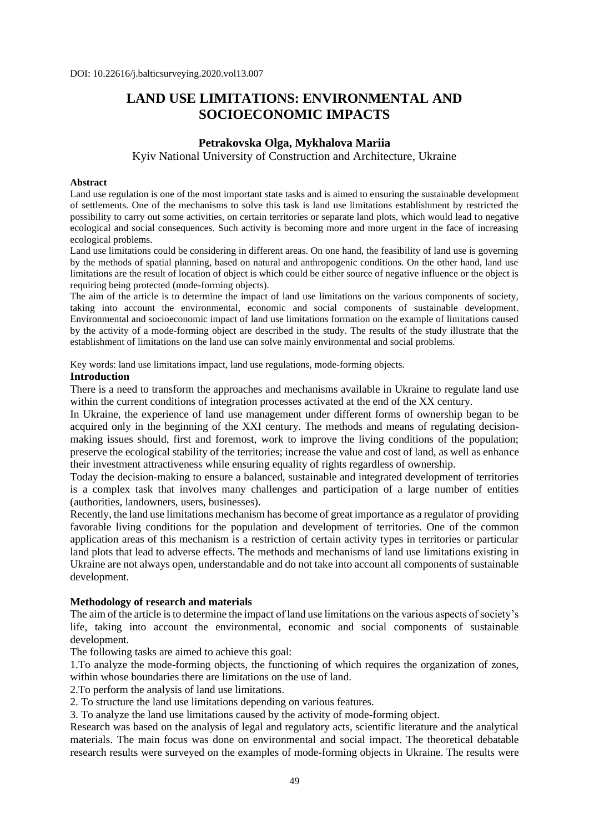# **LAND USE LIMITATIONS: ENVIRONMENTAL AND SOCIOECONOMIC IMPACTS**

## **Petrakovska Olga, [Mykhalova Mariia](https://orcid.org/0000-0002-2242-5507)**

Kyiv National University of Construction and Architecture, Ukraine

#### **Abstract**

Land use regulation is one of the most important state tasks and is aimed to ensuring the sustainable development of settlements. One of the mechanisms to solve this task is land use limitations establishment by restricted the possibility to carry out some activities, on certain territories or separate land plots, which would lead to negative ecological and social consequences. Such activity is becoming more and more urgent in the face of increasing ecological problems.

Land use limitations could be considering in different areas. On one hand, the feasibility of land use is governing by the methods of spatial planning, based on natural and anthropogenic conditions. On the other hand, land use limitations are the result of location of object is which could be either source of negative influence or the object is requiring being protected (mode-forming objects).

The aim of the article is to determine the impact of land use limitations on the various components of society, taking into account the environmental, economic and social components of sustainable development. Environmental and socioeconomic impact of land use limitations formation on the example of limitations caused by the activity of a mode-forming object are described in the study. The results of the study illustrate that the establishment of limitations on the land use can solve mainly environmental and social problems.

Key words: land use limitations impact, land use regulations, mode-forming objects.

#### **Introduction**

There is a need to transform the approaches and mechanisms available in Ukraine to regulate land use within the current conditions of integration processes activated at the end of the XX century.

In Ukraine, the experience of land use management under different forms of ownership began to be acquired only in the beginning of the XXI century. The methods and means of regulating decisionmaking issues should, first and foremost, work to improve the living conditions of the population; preserve the ecological stability of the territories; increase the value and cost of land, as well as enhance their investment attractiveness while ensuring equality of rights regardless of ownership.

Today the decision-making to ensure a balanced, sustainable and integrated development of territories is a complex task that involves many challenges and participation of a large number of entities (authorities, landowners, users, businesses).

Recently, the land use limitations mechanism has become of great importance as a regulator of providing favorable living conditions for the population and development of territories. One of the common application areas of this mechanism is a restriction of certain activity types in territories or particular land plots that lead to adverse effects. The methods and mechanisms of land use limitations existing in Ukraine are not always open, understandable and do not take into account all components of sustainable development.

#### **Methodology of research and materials**

The aim of the article is to determine the impact of land use limitations on the various aspects of society's life, taking into account the environmental, economic and social components of sustainable development.

The following tasks are aimed to achieve this goal:

1.To analyze the mode-forming objects, the functioning of which requires the organization of zones, within whose boundaries there are limitations on the use of land.

2.To perform the analysis of land use limitations.

2. To structure the land use limitations depending on various features.

3. To analyze the land use limitations caused by the activity of mode-forming object.

Research was based on the analysis of legal and regulatory acts, scientific literature and the analytical materials. The main focus was done on environmental and social impact. The theoretical debatable research results were surveyed on the examples of mode-forming objects in Ukraine. The results were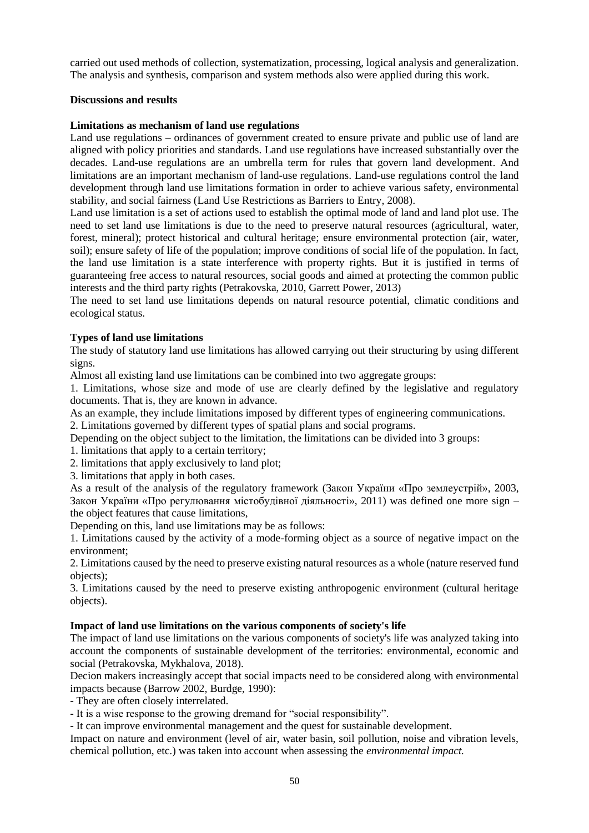carried out used methods of collection, systematization, processing, logical analysis and generalization. The analysis and synthesis, comparison and system methods also were applied during this work.

### **Discussions and results**

#### **Limitations as mechanism of land use regulations**

Land use regulations – ordinances of government created to ensure private and public use of land are aligned with policy priorities and standards. Land use regulations have increased substantially over the decades. Land-use regulations are an umbrella term for rules that govern land development. And limitations are an important mechanism of land-use regulations. Land-use regulations control the land development through land use limitations formation in order to achieve various safety, environmental stability, and social fairness (Land Use Restrictions as Barriers to Entry, 2008).

Land use limitation is a set of actions used to establish the optimal mode of land and land plot use. The need to set land use limitations is due to the need to preserve natural resources (agricultural, water, forest, mineral); protect historical and cultural heritage; ensure environmental protection (air, water, soil); ensure safety of life of the population; improve conditions of social life of the population. In fact, the land use limitation is a state interference with property rights. But it is justified in terms of guaranteeing free access to natural resources, social goods and aimed at protecting the common public interests and the third party rights (Petrakovska, 2010, Garrett Power, 2013)

The need to set land use limitations depends on natural resource potential, climatic conditions and ecological status.

## **Types of land use limitations**

The study of statutory land use limitations has allowed carrying out their structuring by using different signs.

Almost all existing land use limitations can be combined into two aggregate groups:

1. Limitations, whose size and mode of use are clearly defined by the legislative and regulatory documents. That is, they are known in advance.

As an example, they include limitations imposed by different types of engineering communications.

2. Limitations governed by different types of spatial plans and social programs.

Depending on the object subject to the limitation, the limitations can be divided into 3 groups:

1. limitations that apply to a certain territory;

2. limitations that apply exclusively to land plot;

3. limitations that apply in both cases.

As a result of the analysis of the regulatory framework (Закон України «Про землеустрій», 2003, Закон України «Про регулювання містобудівної діяльності», 2011) was defined one more sign – the object features that cause limitations,

Depending on this, land use limitations may be as follows:

1. Limitations caused by the activity of a mode-forming object as a source of negative impact on the environment;

2. Limitations caused by the need to preserve existing natural resources as a whole (nature reserved fund objects);

3. Limitations caused by the need to preserve existing anthropogenic environment (cultural heritage objects).

## **Impact of land use limitations on the various components of society's life**

The impact of land use limitations on the various components of society's life was analyzed taking into account the components of sustainable development of the territories: environmental, economic and social (Petrakovska, Mykhalova, 2018).

Decion makers increasingly accept that social impacts need to be considered along with environmental impacts because (Barrow 2002, Burdge, 1990):

- They are often closely interrelated.

- It is a wise response to the growing dremand for "social responsibility".

- It can improve environmental management and the quest for sustainable development.

Impact on nature and environment (level of air, water basin, soil pollution, noise and vibration levels, chemical pollution, etc.) was taken into account when assessing the *environmental impact.*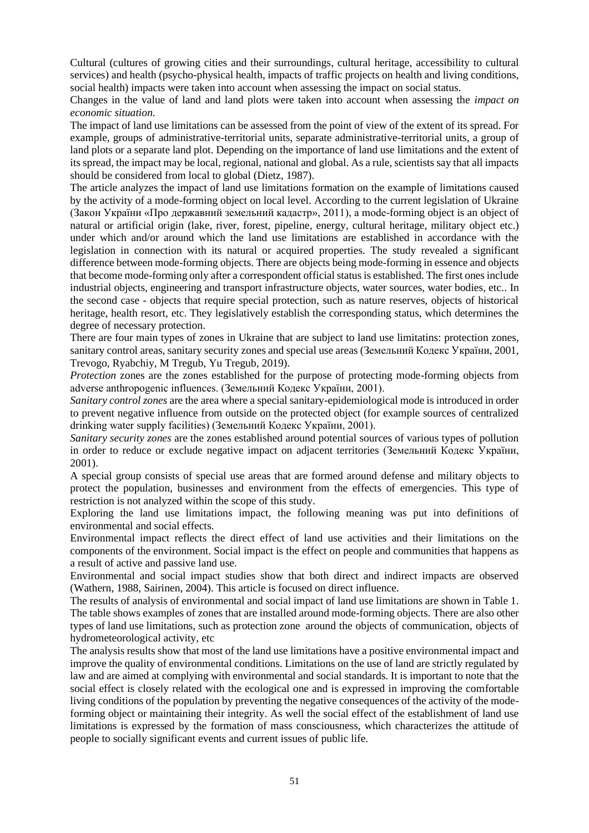Cultural (cultures of growing cities and their surroundings, cultural heritage, accessibility to cultural services) and health (psycho-physical health, impacts of traffic projects on health and living conditions, social health) impacts were taken into account when assessing the impact on social status.

Changes in the value of land and land plots were taken into account when assessing the *impact on economic situation.*

The impact of land use limitations can be assessed from the point of view of the extent of its spread. For example, groups of administrative-territorial units, separate administrative-territorial units, a group of land plots or a separate land plot. Depending on the importance of land use limitations and the extent of its spread, the impact may be local, regional, national and global. As a rule, scientists say that all impacts should be considered from local to global (Dietz, 1987).

The article analyzes the impact of land use limitations formation on the example of limitations caused by the activity of a mode-forming object on local level. According to the current legislation of Ukraine (Закон України «Про державний земельний кадастр», 2011), a mode-forming object is an object of natural or artificial origin (lake, river, forest, pipeline, energy, cultural heritage, military object etc.) under which and/or around which the land use limitations are established in accordance with the legislation in connection with its natural or acquired properties. The study revealed a significant difference between mode-forming objects. There are objects being mode-forming in essence and objects that become mode-forming only after a correspondent official status is established. The first ones include industrial objects, engineering and transport infrastructure objects, water sources, water bodies, etc.. In the second case - objects that require special protection, such as nature reserves, objects of historical heritage, health resort, etc. They legislatively establish the corresponding status, which determines the degree of necessary protection.

There are four main types of zones in Ukraine that are subject to land use limitatins: protection zones, sanitary control areas, sanitary security zones and special use areas (Земельний Кодекс України, 2001, Trevogo, Ryabchiy, M Tregub, Yu Tregub, 2019).

*Protection* zones are the zones established for the purpose of protecting mode-forming objects from adverse anthropogenic influences. (Земельний Кодекс України, 2001).

*Sanitary control zones* are the area where a special sanitary-epidemiological mode is introduced in order to prevent negative influence from outside on the protected object (for example sources of centralized drinking water supply facilities) (Земельний Кодекс України, 2001).

*Sanitary security zones* are the zones established around potential sources of various types of pollution in order to reduce or exclude negative impact on adjacent territories (Земельний Кодекс України, 2001).

A special group consists of special use areas that are formed around defense and military objects to protect the population, businesses and environment from the effects of emergencies. This type of restriction is not analyzed within the scope of this study.

Exploring the land use limitations impact, the following meaning was put into definitions of environmental and social effects.

Environmental impact reflects the direct effect of land use activities and their limitations on the components of the environment. Social impact is the effect on people and communities that happens as a result of active and passive land use.

Environmental and social impact studies show that both direct and indirect impacts are observed (Wathern, 1988, Sairinen, 2004). This article is focused on direct influence.

The results of analysis of environmental and social impact of land use limitations are shown in Table 1. The table shows examples of zones that are installed around mode-forming objects. There are also other types of land use limitations, such as protection zone around the objects of communication, objects of hydrometeorological activity, etc

The analysis results show that most of the land use limitations have a positive environmental impact and improve the quality of environmental conditions. Limitations on the use of land are strictly regulated by law and are aimed at complying with environmental and social standards. It is important to note that the social effect is closely related with the ecological one and is expressed in improving the comfortable living conditions of the population by preventing the negative consequences of the activity of the modeforming object or maintaining their integrity. As well the social effect of the establishment of land use limitations is expressed by the formation of mass consciousness, which characterizes the attitude of people to socially significant events and current issues of public life.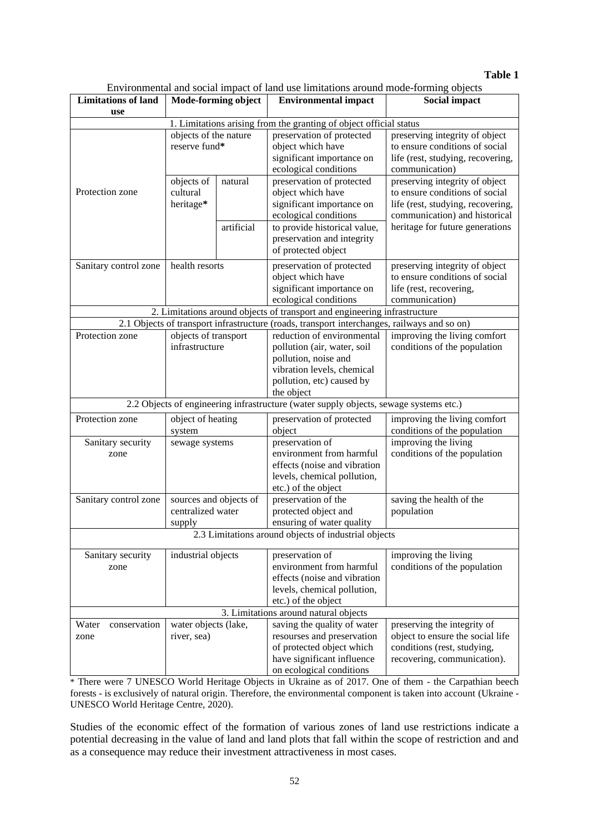#### **Table 1**

Environmental and social impact of land use limitations around mode-forming objects

| <b>Limitations of land</b>                                                                  | Mode-forming object                                   |            | Environmental and social impact of faild use immations around mode-forming objects<br><b>Environmental impact</b>                                | Social impact                                                                                                                          |
|---------------------------------------------------------------------------------------------|-------------------------------------------------------|------------|--------------------------------------------------------------------------------------------------------------------------------------------------|----------------------------------------------------------------------------------------------------------------------------------------|
| use                                                                                         |                                                       |            |                                                                                                                                                  |                                                                                                                                        |
| 1. Limitations arising from the granting of object official status                          |                                                       |            |                                                                                                                                                  |                                                                                                                                        |
|                                                                                             | objects of the nature<br>reserve fund*                |            | preservation of protected<br>object which have<br>significant importance on<br>ecological conditions                                             | preserving integrity of object<br>to ensure conditions of social<br>life (rest, studying, recovering,<br>communication)                |
| Protection zone                                                                             | objects of<br>cultural<br>heritage*                   | natural    | preservation of protected<br>object which have<br>significant importance on<br>ecological conditions                                             | preserving integrity of object<br>to ensure conditions of social<br>life (rest, studying, recovering,<br>communication) and historical |
|                                                                                             |                                                       | artificial | to provide historical value,<br>preservation and integrity<br>of protected object                                                                | heritage for future generations                                                                                                        |
| Sanitary control zone                                                                       | health resorts                                        |            | preservation of protected<br>object which have<br>significant importance on<br>ecological conditions                                             | preserving integrity of object<br>to ensure conditions of social<br>life (rest, recovering,<br>communication)                          |
| 2. Limitations around objects of transport and engineering infrastructure                   |                                                       |            |                                                                                                                                                  |                                                                                                                                        |
| 2.1 Objects of transport infrastructure (roads, transport interchanges, railways and so on) |                                                       |            |                                                                                                                                                  |                                                                                                                                        |
| Protection zone                                                                             | objects of transport<br>infrastructure                |            | reduction of environmental<br>pollution (air, water, soil<br>pollution, noise and<br>vibration levels, chemical<br>pollution, etc) caused by     | improving the living comfort<br>conditions of the population                                                                           |
|                                                                                             |                                                       |            | the object                                                                                                                                       |                                                                                                                                        |
| 2.2 Objects of engineering infrastructure (water supply objects, sewage systems etc.)       |                                                       |            |                                                                                                                                                  |                                                                                                                                        |
| Protection zone                                                                             | object of heating<br>system                           |            | preservation of protected<br>object                                                                                                              | improving the living comfort<br>conditions of the population                                                                           |
| Sanitary security<br>zone                                                                   | sewage systems                                        |            | preservation of<br>environment from harmful<br>effects (noise and vibration<br>levels, chemical pollution,<br>etc.) of the object                | improving the living<br>conditions of the population                                                                                   |
| Sanitary control zone                                                                       | sources and objects of<br>centralized water<br>supply |            | preservation of the<br>protected object and<br>ensuring of water quality                                                                         | saving the health of the<br>population                                                                                                 |
| 2.3 Limitations around objects of industrial objects                                        |                                                       |            |                                                                                                                                                  |                                                                                                                                        |
| Sanitary security<br>zone                                                                   | industrial objects                                    |            | preservation of<br>environment from harmful<br>effects (noise and vibration<br>levels, chemical pollution,<br>etc.) of the object                | improving the living<br>conditions of the population                                                                                   |
| 3. Limitations around natural objects                                                       |                                                       |            |                                                                                                                                                  |                                                                                                                                        |
| Water<br>conservation<br>zone                                                               | water objects (lake,<br>river, sea)                   |            | saving the quality of water<br>resourses and preservation<br>of protected object which<br>have significant influence<br>on ecological conditions | preserving the integrity of<br>object to ensure the social life<br>conditions (rest, studying,<br>recovering, communication).          |

\* There were 7 UNESCO World Heritage Objects in Ukraine as of 2017. One of them - the Carpathian beech forests - is exclusively of natural origin. Therefore, the environmental component is taken into account (Ukraine - UNESCO World Heritage Centre, 2020).

Studies of the economic effect of the formation of various zones of land use restrictions indicate a potential decreasing in the value of land and land plots that fall within the scope of restriction and and as a consequence may reduce their investment attractiveness in most cases.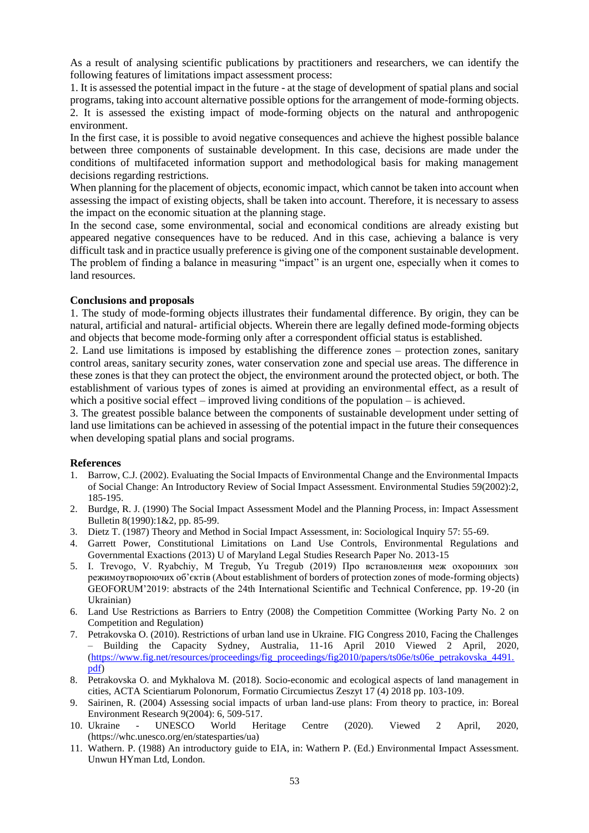As a result of analysing scientific publications by practitioners and researchers, we can identify the following features of limitations impact assessment process:

1. It is assessed the potential impact in the future - at the stage of development of spatial plans and social programs, taking into account alternative possible options for the arrangement of mode-forming objects. 2. It is assessed the existing impact of mode-forming objects on the natural and anthropogenic environment.

In the first case, it is possible to avoid negative consequences and achieve the highest possible balance between three components of sustainable development. In this case, decisions are made under the conditions of multifaceted information support and methodological basis for making management decisions regarding restrictions.

When planning for the placement of objects, economic impact, which cannot be taken into account when assessing the impact of existing objects, shall be taken into account. Therefore, it is necessary to assess the impact on the economic situation at the planning stage.

In the second case, some environmental, social and economical conditions are already existing but appeared negative consequences have to be reduced. And in this case, achieving a balance is very difficult task and in practice usually preference is giving one of the component sustainable development. The problem of finding a balance in measuring "impact" is an urgent one, especially when it comes to land resources.

#### **Conclusions and proposals**

1. The study of mode-forming objects illustrates their fundamental difference. By origin, they can be natural, artificial and natural- artificial objects. Wherein there are legally defined mode-forming objects and objects that become mode-forming only after a correspondent official status is established.

2. Land use limitations is imposed by establishing the difference zones – protection zones, sanitary control areas, sanitary security zones, water conservation zone and special use areas. The difference in these zones is that they can protect the object, the environment around the protected object, or both. The establishment of various types of zones is aimed at providing an environmental effect, as a result of which a positive social effect – improved living conditions of the population – is achieved.

3. The greatest possible balance between the components of sustainable development under setting of land use limitations can be achieved in assessing of the potential impact in the future their consequences when developing spatial plans and social programs.

#### **References**

- 1. Barrow, C.J. (2002). Evaluating the Social Impacts of Environmental Change and the Environmental Impacts of Social Change: An Introductory Review of Social Impact Assessment. Environmental Studies 59(2002):2, 185-195.
- 2. Burdge, R. J. (1990) The Social Impact Assessment Model and the Planning Process, in: Impact Assessment Bulletin 8(1990):1&2, pp. 85-99.
- 3. Dietz T. (1987) Theory and Method in Social Impact Assessment, in: Sociological Inquiry 57: 55-69.
- 4. Garrett Power, Constitutional Limitations on Land Use Controls, Environmental Regulations and Governmental Exactions (2013) U of Maryland Legal Studies Research Paper No. 2013-15
- 5. I. Trevogo, V. Ryabchiy, M Tregub, Yu Tregub (2019) Про встановлення меж охоронних зон режимоутворюючих об'єктів (About establishment of borders of protection zones of mode-forming objects) GEOFORUM'2019: abstracts of the 24th International Scientific and Technical Conference, pp. 19-20 (in Ukrainian)
- 6. Land Use Restrictions as Barriers to Entry (2008) the Competition Committee (Working Party No. 2 on Competition and Regulation)
- 7. Petrakovska O. (2010). Restrictions of urban land use in Ukraine. FIG Congress 2010, Facing the Challenges – Building the Capacity Sydney, Australia, 11-16 April 2010 Viewed 2 April, 2020, [\(https://www.fig.net/resources/proceedings/fig\\_proceedings/fig2010/papers/ts06e/ts06e\\_petrakovska\\_4491.](https://www.fig.net/resources/proceedings/fig_proceedings/fig2010/papers/ts06e/ts06e_petrakovska_4491.pdf) [pdf\)](https://www.fig.net/resources/proceedings/fig_proceedings/fig2010/papers/ts06e/ts06e_petrakovska_4491.pdf)
- 8. Petrakovska O. and Mykhalova M. (2018). Socio-economic and ecological aspects of land management in cities, ACTA Scientiarum Polonorum, Formatio Circumiectus Zeszyt 17 (4) 2018 pp. 103-109.
- 9. Sairinen, R. (2004) Assessing social impacts of urban land-use plans: From theory to practice, in: Boreal Environment Research 9(2004): 6, 509-517.
- 10. Ukraine UNESCO World Heritage Centre (2020). Viewed 2 April, 2020, (https://whc.unesco.org/en/statesparties/ua)
- 11. Wathern. P. (1988) An introductory guide to EIA, in: Wathern P. (Ed.) Environmental Impact Assessment. Unwun HYman Ltd, London.